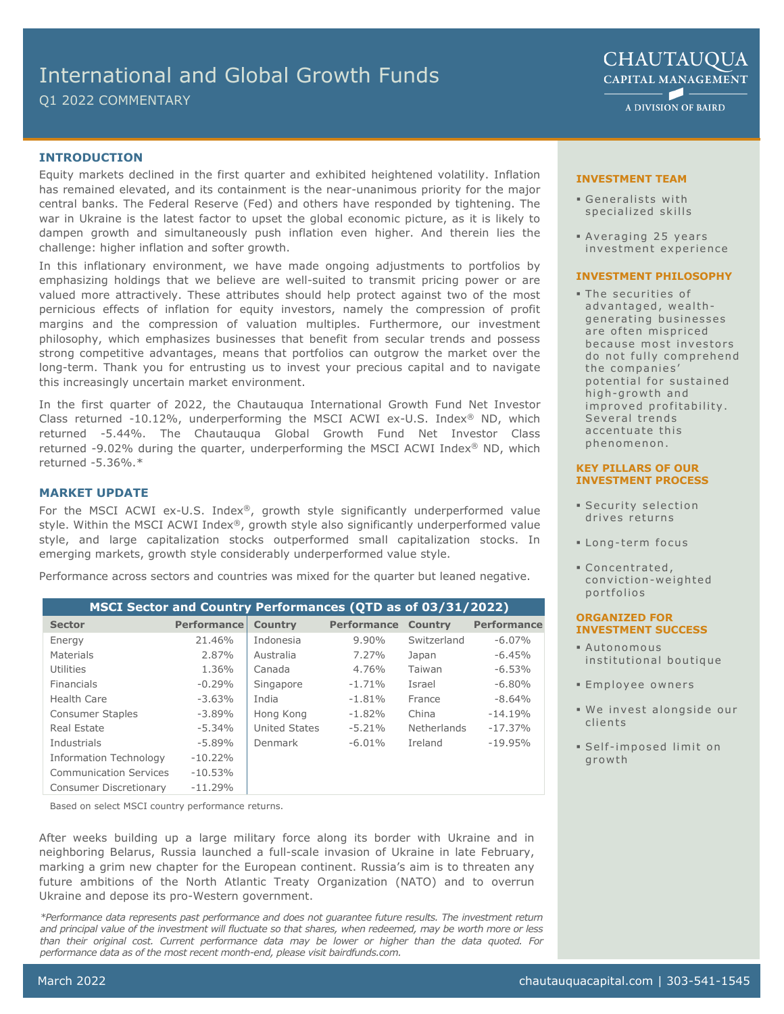# International and Global Growth Funds

Q1 2022 COMMENTARY

**CHAUTAUQUA CAPITAL MANAGEMENT**  $\blacktriangleright$ 

A DIVISION OF BAIRD

# **INTRODUCTION**

Equity markets declined in the first quarter and exhibited heightened volatility. Inflation has remained elevated, and its containment is the near-unanimous priority for the major central banks. The Federal Reserve (Fed) and others have responded by tightening. The war in Ukraine is the latest factor to upset the global economic picture, as it is likely to dampen growth and simultaneously push inflation even higher. And therein lies the challenge: higher inflation and softer growth.

In this inflationary environment, we have made ongoing adjustments to portfolios by emphasizing holdings that we believe are well-suited to transmit pricing power or are valued more attractively. These attributes should help protect against two of the most pernicious effects of inflation for equity investors, namely the compression of profit margins and the compression of valuation multiples. Furthermore, our investment philosophy, which emphasizes businesses that benefit from secular trends and possess strong competitive advantages, means that portfolios can outgrow the market over the long-term. Thank you for entrusting us to invest your precious capital and to navigate this increasingly uncertain market environment.

In the first quarter of 2022, the Chautauqua International Growth Fund Net Investor Class returned -10.12%, underperforming the MSCI ACWI ex-U.S. Index® ND, which returned -5.44%. The Chautauqua Global Growth Fund Net Investor Class returned -9.02% during the quarter, underperforming the MSCI ACWI Index® ND, which returned -5.36%.\*

# **MARKET UPDATE**

For the MSCI ACWI ex-U.S. Index®, growth style significantly underperformed value style. Within the MSCI ACWI Index®, growth style also significantly underperformed value style, and large capitalization stocks outperformed small capitalization stocks. In emerging markets, growth style considerably underperformed value style.

Performance across sectors and countries was mixed for the quarter but leaned negative.

| MSCI Sector and Country Performances (QTD as of 03/31/2022) |                    |                      |             |                |                    |
|-------------------------------------------------------------|--------------------|----------------------|-------------|----------------|--------------------|
| <b>Sector</b>                                               | <b>Performance</b> | <b>Country</b>       | Performance | <b>Country</b> | <b>Performance</b> |
| Energy                                                      | 21.46%             | Indonesia            | 9.90%       | Switzerland    | $-6.07\%$          |
| Materials                                                   | 2.87%              | Australia            | 7.27%       | Japan          | $-6.45%$           |
| Utilities                                                   | 1.36%              | Canada               | 4.76%       | Taiwan         | $-6.53%$           |
| Financials                                                  | $-0.29%$           | Singapore            | $-1.71%$    | Israel         | $-6.80%$           |
| Health Care                                                 | $-3.63%$           | India                | $-1.81%$    | France         | $-8.64%$           |
| <b>Consumer Staples</b>                                     | $-3.89\%$          | Hong Kong            | $-1.82%$    | China          | $-14.19%$          |
| Real Estate                                                 | $-5.34\%$          | <b>United States</b> | $-5.21%$    | Netherlands    | $-17.37%$          |
| Industrials                                                 | $-5.89%$           | Denmark              | $-6.01%$    | Ireland        | $-19.95%$          |
| Information Technology                                      | $-10.22%$          |                      |             |                |                    |
| <b>Communication Services</b>                               | $-10.53%$          |                      |             |                |                    |
| <b>Consumer Discretionary</b>                               | $-11.29%$          |                      |             |                |                    |

Based on select MSCI country performance returns.

After weeks building up a large military force along its border with Ukraine and in neighboring Belarus, Russia launched a full-scale invasion of Ukraine in late February, marking a grim new chapter for the European continent. Russia's aim is to threaten any future ambitions of the North Atlantic Treaty Organization (NATO) and to overrun Ukraine and depose its pro-Western government.

*\*Performance data represents past performance and does not guarantee future results. The investment return and principal value of the investment will fluctuate so that shares, when redeemed, may be worth more or less than their original cost. Current performance data may be lower or higher than the data quoted. For performance data as of the most recent month-end, please visit bairdfunds.com.*

### **INVESTMENT TEAM**

- Generalists with specialized skills
- Averaging 25 years investment experience

#### **INVESTMENT PHILOSOPHY**

 The securities of advantaged, wealthgenerating businesses are often mispriced because most investors do not fully comprehend the companies' potential for sustained high-growth and improved profitability. Several trends accentuate this phenomenon.

#### **KEY PILLARS OF OUR INVESTMENT PROCESS**

- Security selection drives returns
- **ELong-term focus**
- Concentrated, conviction-weighted portfolios

#### **ORGANIZED FOR INVESTMENT SUCCESS**

- Autonomous institutional boutique
- Employee owners
- We invest alongside our clients
- Self imposed limit on growth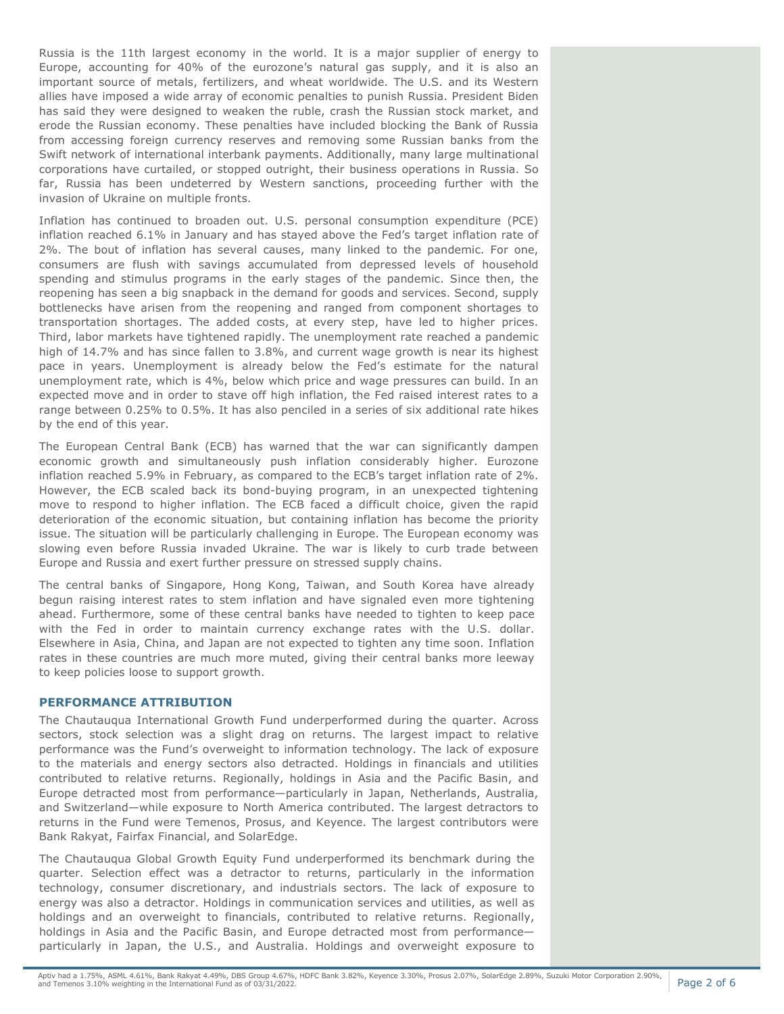Russia is the 11th largest economy in the world. It is a major supplier of energy to Europe, accounting for 40% of the eurozone's natural gas supply, and it is also an important source of metals, fertilizers, and wheat worldwide. The U.S. and its Western allies have imposed a wide array of economic penalties to punish Russia. President Biden has said they were designed to weaken the ruble, crash the Russian stock market, and erode the Russian economy. These penalties have included blocking the Bank of Russia from accessing foreign currency reserves and removing some Russian banks from the Swift network of international interbank payments. Additionally, many large multinational corporations have curtailed, or stopped outright, their business operations in Russia. So far, Russia has been undeterred by Western sanctions, proceeding further with the invasion of Ukraine on multiple fronts.

Inflation has continued to broaden out. U.S. personal consumption expenditure (PCE) inflation reached 6.1% in January and has stayed above the Fed's target inflation rate of 2%. The bout of inflation has several causes, many linked to the pandemic. For one, consumers are flush with savings accumulated from depressed levels of household spending and stimulus programs in the early stages of the pandemic. Since then, the reopening has seen a big snapback in the demand for goods and services. Second, supply bottlenecks have arisen from the reopening and ranged from component shortages to transportation shortages. The added costs, at every step, have led to higher prices. Third, labor markets have tightened rapidly. The unemployment rate reached a pandemic high of 14.7% and has since fallen to 3.8%, and current wage growth is near its highest pace in years. Unemployment is already below the Fed's estimate for the natural unemployment rate, which is 4%, below which price and wage pressures can build. In an expected move and in order to stave off high inflation, the Fed raised interest rates to a range between 0.25% to 0.5%. It has also penciled in a series of six additional rate hikes by the end of this year.

The European Central Bank (ECB) has warned that the war can significantly dampen economic growth and simultaneously push inflation considerably higher. Eurozone inflation reached 5.9% in February, as compared to the ECB's target inflation rate of 2%. However, the ECB scaled back its bond-buying program, in an unexpected tightening move to respond to higher inflation. The ECB faced a difficult choice, given the rapid deterioration of the economic situation, but containing inflation has become the priority issue. The situation will be particularly challenging in Europe. The European economy was slowing even before Russia invaded Ukraine. The war is likely to curb trade between Europe and Russia and exert further pressure on stressed supply chains.

The central banks of Singapore, Hong Kong, Taiwan, and South Korea have already begun raising interest rates to stem inflation and have signaled even more tightening ahead. Furthermore, some of these central banks have needed to tighten to keep pace with the Fed in order to maintain currency exchange rates with the U.S. dollar. Elsewhere in Asia, China, and Japan are not expected to tighten any time soon. Inflation rates in these countries are much more muted, giving their central banks more leeway to keep policies loose to support growth.

# **PERFORMANCE ATTRIBUTION**

The Chautauqua International Growth Fund underperformed during the quarter. Across sectors, stock selection was a slight drag on returns. The largest impact to relative performance was the Fund's overweight to information technology. The lack of exposure to the materials and energy sectors also detracted. Holdings in financials and utilities contributed to relative returns. Regionally, holdings in Asia and the Pacific Basin, and Europe detracted most from performance—particularly in Japan, Netherlands, Australia, and Switzerland—while exposure to North America contributed. The largest detractors to returns in the Fund were Temenos, Prosus, and Keyence. The largest contributors were Bank Rakyat, Fairfax Financial, and SolarEdge.

The Chautauqua Global Growth Equity Fund underperformed its benchmark during the quarter. Selection effect was a detractor to returns, particularly in the information technology, consumer discretionary, and industrials sectors. The lack of exposure to energy was also a detractor. Holdings in communication services and utilities, as well as holdings and an overweight to financials, contributed to relative returns. Regionally, holdings in Asia and the Pacific Basin, and Europe detracted most from performance particularly in Japan, the U.S., and Australia. Holdings and overweight exposure to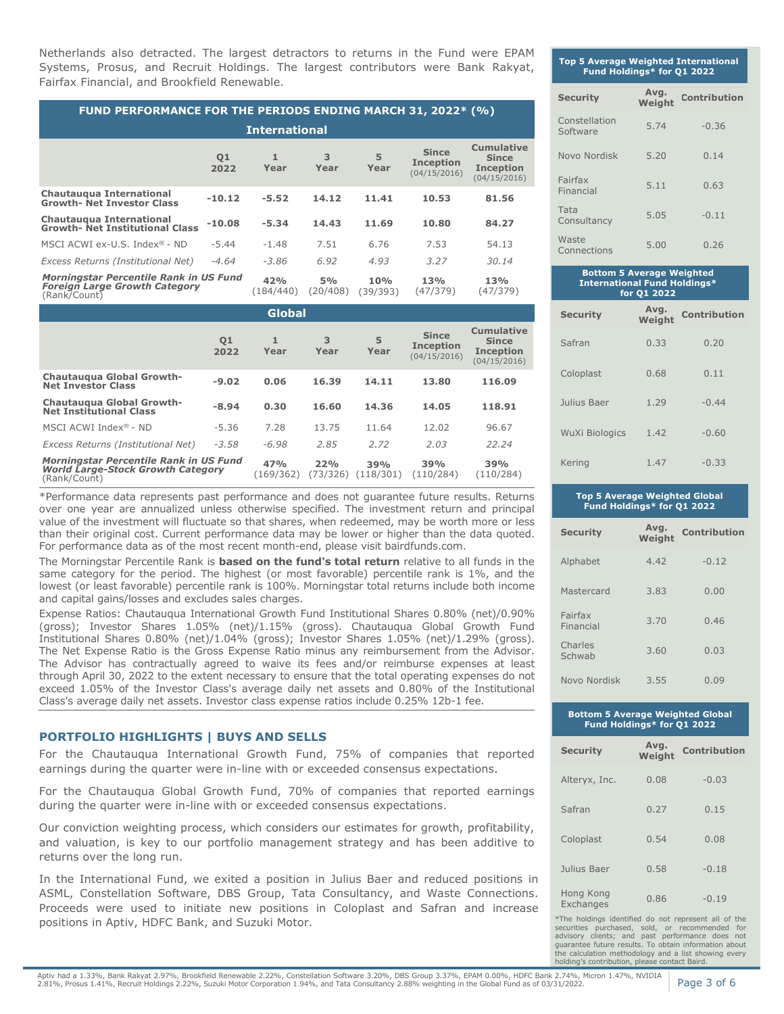Netherlands also detracted. The largest detractors to returns in the Fund were EPAM Systems, Prosus, and Recruit Holdings. The largest contributors were Bank Rakyat, Fairfax Financial, and Brookfield Renewable.

| <b>FUND PERFORMANCE FOR THE PERIODS ENDING MARCH 31, 2022* (%)</b>                             |            |                  |                |                 |                                                  |                                                                       |  |
|------------------------------------------------------------------------------------------------|------------|------------------|----------------|-----------------|--------------------------------------------------|-----------------------------------------------------------------------|--|
| <b>International</b>                                                                           |            |                  |                |                 |                                                  |                                                                       |  |
|                                                                                                | Q1<br>2022 | 1<br>Year        | 3<br>Year      | 5<br>Year       | <b>Since</b><br><b>Inception</b><br>(04/15/2016) | <b>Cumulative</b><br><b>Since</b><br><b>Inception</b><br>(04/15/2016) |  |
| <b>Chautaugua International</b><br><b>Growth- Net Investor Class</b>                           | $-10.12$   | $-5.52$          | 14.12          | 11.41           | 10.53                                            | 81.56                                                                 |  |
| <b>Chautauqua International</b><br><b>Growth- Net Institutional Class</b>                      | $-10.08$   | $-5.34$          | 14.43          | 11.69           | 10.80                                            | 84.27                                                                 |  |
| MSCI ACWI ex-U.S. Index $\mathbb{B}$ - ND                                                      | $-5.44$    | $-1.48$          | 7.51           | 6.76            | 7.53                                             | 54.13                                                                 |  |
| Excess Returns (Institutional Net)                                                             | $-4.64$    | $-3.86$          | 6.92           | 4.93            | 3.27                                             | 30.14                                                                 |  |
| Morningstar Percentile Rank in US Fund<br><b>Foreign Large Growth Category</b><br>(Rank/Count) |            | 42%<br>(184/440) | 5%<br>(20/408) | 10%<br>(39/393) | 13%<br>(47/379)                                  | 13%<br>(47/379)                                                       |  |

| <b>Global</b>                                                                                      |            |                  |                 |                  |                                                  |                                                                       |
|----------------------------------------------------------------------------------------------------|------------|------------------|-----------------|------------------|--------------------------------------------------|-----------------------------------------------------------------------|
|                                                                                                    | 01<br>2022 | 1<br>Year        | 3<br>Year       | 5<br>Year        | <b>Since</b><br><b>Inception</b><br>(04/15/2016) | <b>Cumulative</b><br><b>Since</b><br><b>Inception</b><br>(04/15/2016) |
| Chautaugua Global Growth-<br><b>Net Investor Class</b>                                             | $-9.02$    | 0.06             | 16.39           | 14.11            | 13.80                                            | 116.09                                                                |
| Chautaugua Global Growth-<br><b>Net Institutional Class</b>                                        | $-8.94$    | 0.30             | 16.60           | 14.36            | 14.05                                            | 118.91                                                                |
| MSCI ACWI Index® - ND                                                                              | $-5.36$    | 7.28             | 13.75           | 11.64            | 12.02                                            | 96.67                                                                 |
| Excess Returns (Institutional Net)                                                                 | $-3.58$    | $-6.98$          | 2.85            | 2.72             | 2.03                                             | 22.24                                                                 |
| Morningstar Percentile Rank in US Fund<br><b>World Large-Stock Growth Category</b><br>(Rank/Count) |            | 47%<br>(169/362) | 22%<br>(73/326) | 39%<br>(118/301) | 39%<br>(110/284)                                 | 39%<br>(110/284)                                                      |

\*Performance data represents past performance and does not guarantee future results. Returns over one year are annualized unless otherwise specified. The investment return and principal value of the investment will fluctuate so that shares, when redeemed, may be worth more or less than their original cost. Current performance data may be lower or higher than the data quoted. For performance data as of the most recent month-end, please visit bairdfunds.com.

The Morningstar Percentile Rank is **based on the fund's total return** relative to all funds in the same category for the period. The highest (or most favorable) percentile rank is 1%, and the lowest (or least favorable) percentile rank is 100%. Morningstar total returns include both income and capital gains/losses and excludes sales charges.

Expense Ratios: Chautauqua International Growth Fund Institutional Shares 0.80% (net)/0.90% (gross); Investor Shares 1.05% (net)/1.15% (gross). Chautauqua Global Growth Fund Institutional Shares 0.80% (net)/1.04% (gross); Investor Shares 1.05% (net)/1.29% (gross). The Net Expense Ratio is the Gross Expense Ratio minus any reimbursement from the Advisor. The Advisor has contractually agreed to waive its fees and/or reimburse expenses at least through April 30, 2022 to the extent necessary to ensure that the total operating expenses do not exceed 1.05% of the Investor Class's average daily net assets and 0.80% of the Institutional Class's average daily net assets. Investor class expense ratios include 0.25% 12b-1 fee.

# **PORTFOLIO HIGHLIGHTS | BUYS AND SELLS**

For the Chautauqua International Growth Fund, 75% of companies that reported earnings during the quarter were in-line with or exceeded consensus expectations.

For the Chautauqua Global Growth Fund, 70% of companies that reported earnings during the quarter were in-line with or exceeded consensus expectations.

Our conviction weighting process, which considers our estimates for growth, profitability, and valuation, is key to our portfolio management strategy and has been additive to returns over the long run.

In the International Fund, we exited a position in Julius Baer and reduced positions in ASML, Constellation Software, DBS Group, Tata Consultancy, and Waste Connections. Proceeds were used to initiate new positions in Coloplast and Safran and increase positions in Aptiv, HDFC Bank, and Suzuki Motor.

# **Top 5 Average Weighted International Fund Holdings\* for Q1 2022**

| <b>Security</b>           | Avg.<br>Weight | Contribution |
|---------------------------|----------------|--------------|
| Constellation<br>Software | 5.74           | $-0.36$      |
| Novo Nordisk              | 5.20           | 0.14         |
| Fairfax<br>Financial      | 5.11           | 0.63         |
| Tata<br>Consultancy       | 5.05           | $-0.11$      |
| Waste<br>Connections      | 5.00           | 0.26         |

| ________<br><b>International Fund Holdings*</b><br>for Q1 2022 |                |                     |  |  |  |
|----------------------------------------------------------------|----------------|---------------------|--|--|--|
| <b>Security</b>                                                | Avg.<br>Weight | <b>Contribution</b> |  |  |  |
| Safran                                                         | 0.33           | 0.20                |  |  |  |
| Coloplast                                                      | 0.68           | 0.11                |  |  |  |
| Julius Baer                                                    | 1.29           | $-0.44$             |  |  |  |
| <b>WuXi Biologics</b>                                          | 1.42           | $-0.60$             |  |  |  |
| Kering                                                         | 1.47           | $-0.33$             |  |  |  |

**Bottom 5 Average Weighted** 

#### **Top 5 Average Weighted Global Fund Holdings\* for Q1 2022**

| <b>Security</b>      | Avg.<br>Weight | <b>Contribution</b> |
|----------------------|----------------|---------------------|
| Alphabet             | 4.47           | $-0.12$             |
| Mastercard           | 3.83           | 0.00                |
| Fairfax<br>Financial | 3.70           | 0.46                |
| Charles<br>Schwab    | 3.60           | 0.03                |
| Novo Nordisk         | 3.55           | 0.09                |

#### **Bottom 5 Average Weighted Global Fund Holdings\* for Q1 2022**

| <b>Security</b>        | Avg.<br>Weight | <b>Contribution</b> |
|------------------------|----------------|---------------------|
| Alteryx, Inc.          | 0.08           | $-0.03$             |
| Safran                 | 0.27           | 0.15                |
| Coloplast              | 0.54           | 0.08                |
| Julius Baer            | 0.58           | $-0.18$             |
| Hong Kong<br>Exchanges | 0.86           | $-0.19$             |

\*The holdings identified do not represent all of the securities purchased, sold, or recommended for advisory clients; and past performance does not guarantee future results. To obtain information about the calculation methodology and a list showing every holding's contribution, please contact Baird.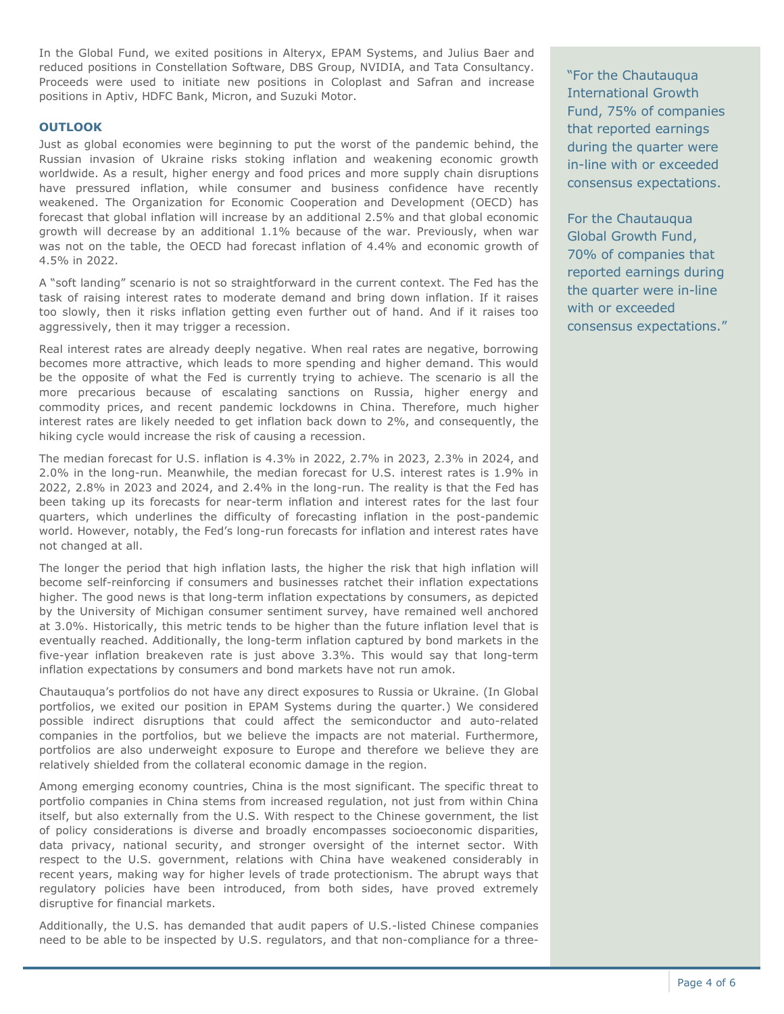In the Global Fund, we exited positions in Alteryx, EPAM Systems, and Julius Baer and reduced positions in Constellation Software, DBS Group, NVIDIA, and Tata Consultancy. Proceeds were used to initiate new positions in Coloplast and Safran and increase positions in Aptiv, HDFC Bank, Micron, and Suzuki Motor.

# **OUTLOOK**

Just as global economies were beginning to put the worst of the pandemic behind, the Russian invasion of Ukraine risks stoking inflation and weakening economic growth worldwide. As a result, higher energy and food prices and more supply chain disruptions have pressured inflation, while consumer and business confidence have recently weakened. The Organization for Economic Cooperation and Development (OECD) has forecast that global inflation will increase by an additional 2.5% and that global economic growth will decrease by an additional 1.1% because of the war. Previously, when war was not on the table, the OECD had forecast inflation of 4.4% and economic growth of 4.5% in 2022.

A "soft landing" scenario is not so straightforward in the current context. The Fed has the task of raising interest rates to moderate demand and bring down inflation. If it raises too slowly, then it risks inflation getting even further out of hand. And if it raises too aggressively, then it may trigger a recession.

Real interest rates are already deeply negative. When real rates are negative, borrowing becomes more attractive, which leads to more spending and higher demand. This would be the opposite of what the Fed is currently trying to achieve. The scenario is all the more precarious because of escalating sanctions on Russia, higher energy and commodity prices, and recent pandemic lockdowns in China. Therefore, much higher interest rates are likely needed to get inflation back down to 2%, and consequently, the hiking cycle would increase the risk of causing a recession.

The median forecast for U.S. inflation is 4.3% in 2022, 2.7% in 2023, 2.3% in 2024, and 2.0% in the long-run. Meanwhile, the median forecast for U.S. interest rates is 1.9% in 2022, 2.8% in 2023 and 2024, and 2.4% in the long-run. The reality is that the Fed has been taking up its forecasts for near-term inflation and interest rates for the last four quarters, which underlines the difficulty of forecasting inflation in the post-pandemic world. However, notably, the Fed's long-run forecasts for inflation and interest rates have not changed at all.

The longer the period that high inflation lasts, the higher the risk that high inflation will become self-reinforcing if consumers and businesses ratchet their inflation expectations higher. The good news is that long-term inflation expectations by consumers, as depicted by the University of Michigan consumer sentiment survey, have remained well anchored at 3.0%. Historically, this metric tends to be higher than the future inflation level that is eventually reached. Additionally, the long-term inflation captured by bond markets in the five-year inflation breakeven rate is just above 3.3%. This would say that long-term inflation expectations by consumers and bond markets have not run amok.

Chautauqua's portfolios do not have any direct exposures to Russia or Ukraine. (In Global portfolios, we exited our position in EPAM Systems during the quarter.) We considered possible indirect disruptions that could affect the semiconductor and auto-related companies in the portfolios, but we believe the impacts are not material. Furthermore, portfolios are also underweight exposure to Europe and therefore we believe they are relatively shielded from the collateral economic damage in the region.

Among emerging economy countries, China is the most significant. The specific threat to portfolio companies in China stems from increased regulation, not just from within China itself, but also externally from the U.S. With respect to the Chinese government, the list of policy considerations is diverse and broadly encompasses socioeconomic disparities, data privacy, national security, and stronger oversight of the internet sector. With respect to the U.S. government, relations with China have weakened considerably in recent years, making way for higher levels of trade protectionism. The abrupt ways that regulatory policies have been introduced, from both sides, have proved extremely disruptive for financial markets.

Additionally, the U.S. has demanded that audit papers of U.S.-listed Chinese companies need to be able to be inspected by U.S. regulators, and that non-compliance for a three-

"For the Chautauqua International Growth Fund, 75% of companies that reported earnings during the quarter were in-line with or exceeded consensus expectations.

For the Chautauqua Global Growth Fund, 70% of companies that reported earnings during the quarter were in-line with or exceeded consensus expectations."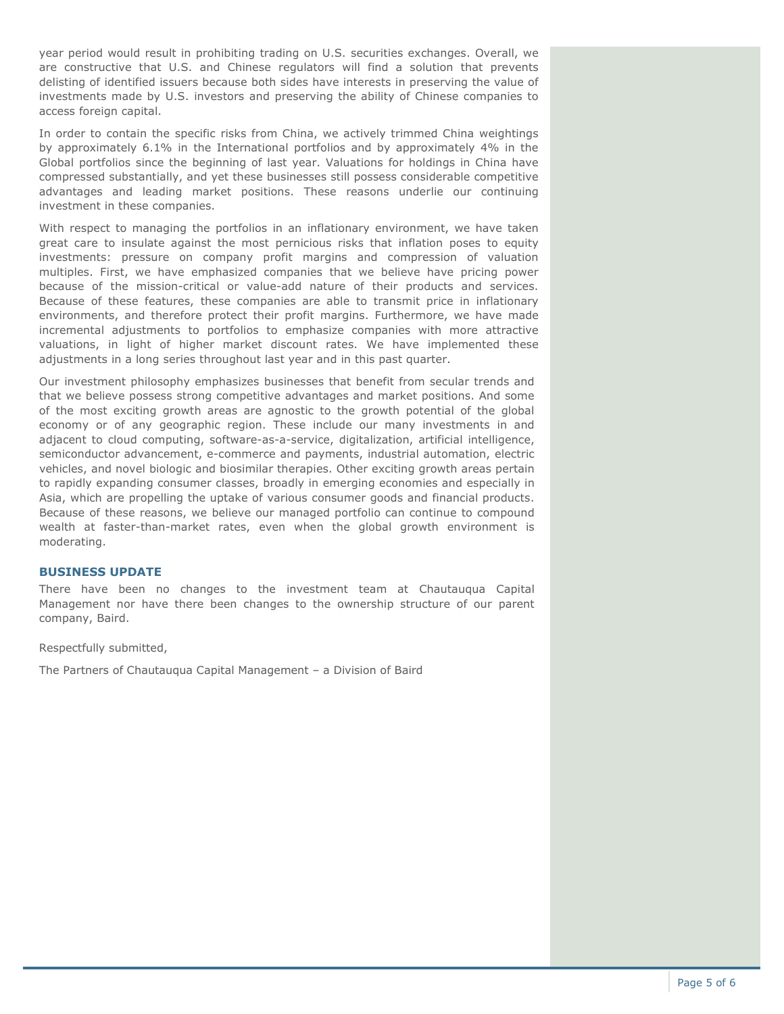year period would result in prohibiting trading on U.S. securities exchanges. Overall, we are constructive that U.S. and Chinese regulators will find a solution that prevents delisting of identified issuers because both sides have interests in preserving the value of investments made by U.S. investors and preserving the ability of Chinese companies to access foreign capital.

In order to contain the specific risks from China, we actively trimmed China weightings by approximately 6.1% in the International portfolios and by approximately 4% in the Global portfolios since the beginning of last year. Valuations for holdings in China have compressed substantially, and yet these businesses still possess considerable competitive advantages and leading market positions. These reasons underlie our continuing investment in these companies.

With respect to managing the portfolios in an inflationary environment, we have taken great care to insulate against the most pernicious risks that inflation poses to equity investments: pressure on company profit margins and compression of valuation multiples. First, we have emphasized companies that we believe have pricing power because of the mission-critical or value-add nature of their products and services. Because of these features, these companies are able to transmit price in inflationary environments, and therefore protect their profit margins. Furthermore, we have made incremental adjustments to portfolios to emphasize companies with more attractive valuations, in light of higher market discount rates. We have implemented these adjustments in a long series throughout last year and in this past quarter.

Our investment philosophy emphasizes businesses that benefit from secular trends and that we believe possess strong competitive advantages and market positions. And some of the most exciting growth areas are agnostic to the growth potential of the global economy or of any geographic region. These include our many investments in and adjacent to cloud computing, software-as-a-service, digitalization, artificial intelligence, semiconductor advancement, e-commerce and payments, industrial automation, electric vehicles, and novel biologic and biosimilar therapies. Other exciting growth areas pertain to rapidly expanding consumer classes, broadly in emerging economies and especially in Asia, which are propelling the uptake of various consumer goods and financial products. Because of these reasons, we believe our managed portfolio can continue to compound wealth at faster-than-market rates, even when the global growth environment is moderating.

# **BUSINESS UPDATE**

There have been no changes to the investment team at Chautauqua Capital Management nor have there been changes to the ownership structure of our parent company, Baird.

Respectfully submitted,

The Partners of Chautauqua Capital Management – a Division of Baird